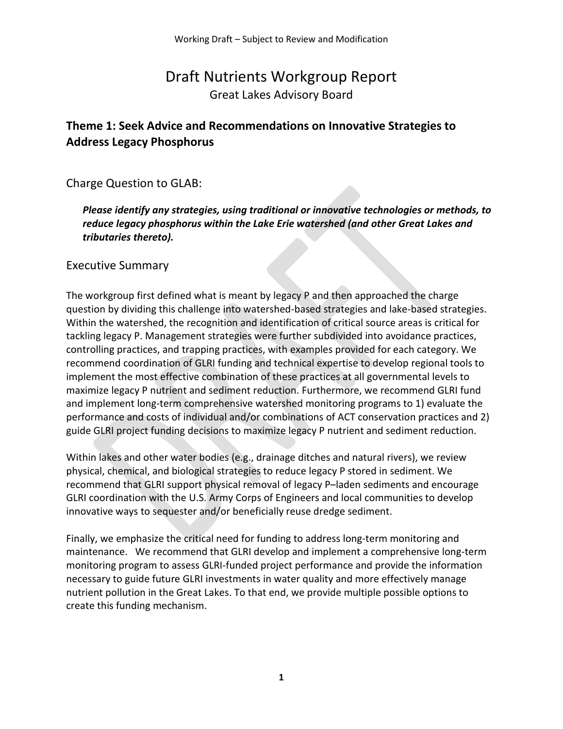# Draft Nutrients Workgroup Report Great Lakes Advisory Board

# **Theme 1: Seek Advice and Recommendations on Innovative Strategies to Address Legacy Phosphorus**

Charge Question to GLAB:

*Please identify any strategies, using traditional or innovative technologies or methods, to reduce legacy phosphorus within the Lake Erie watershed (and other Great Lakes and tributaries thereto).* 

## Executive Summary

The workgroup first defined what is meant by legacy P and then approached the charge question by dividing this challenge into watershed-based strategies and lake-based strategies. Within the watershed, the recognition and identification of critical source areas is critical for tackling legacy P. Management strategies were further subdivided into avoidance practices, controlling practices, and trapping practices, with examples provided for each category. We recommend coordination of GLRI funding and technical expertise to develop regional tools to implement the most effective combination of these practices at all governmental levels to maximize legacy P nutrient and sediment reduction. Furthermore, we recommend GLRI fund and implement long-term comprehensive watershed monitoring programs to 1) evaluate the performance and costs of individual and/or combinations of ACT conservation practices and 2) guide GLRI project funding decisions to maximize legacy P nutrient and sediment reduction.

Within lakes and other water bodies (e.g., drainage ditches and natural rivers), we review physical, chemical, and biological strategies to reduce legacy P stored in sediment. We recommend that GLRI support physical removal of legacy P–laden sediments and encourage GLRI coordination with the U.S. Army Corps of Engineers and local communities to develop innovative ways to sequester and/or beneficially reuse dredge sediment.

Finally, we emphasize the critical need for funding to address long-term monitoring and maintenance. We recommend that GLRI develop and implement a comprehensive long-term monitoring program to assess GLRI-funded project performance and provide the information necessary to guide future GLRI investments in water quality and more effectively manage nutrient pollution in the Great Lakes. To that end, we provide multiple possible options to create this funding mechanism.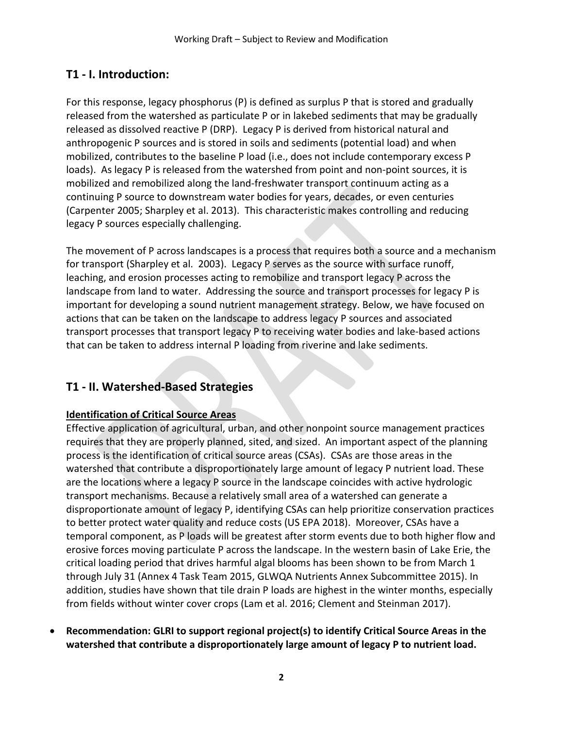# **T1 - I. Introduction:**

For this response, legacy phosphorus (P) is defined as surplus P that is stored and gradually released from the watershed as particulate P or in lakebed sediments that may be gradually released as dissolved reactive P (DRP). Legacy P is derived from historical natural and anthropogenic P sources and is stored in soils and sediments (potential load) and when mobilized, contributes to the baseline P load (i.e., does not include contemporary excess P loads). As legacy P is released from the watershed from point and non-point sources, it is mobilized and remobilized along the land-freshwater transport continuum acting as a continuing P source to downstream water bodies for years, decades, or even centuries (Carpenter 2005; Sharpley et al. 2013). This characteristic makes controlling and reducing legacy P sources especially challenging.

The movement of P across landscapes is a process that requires both a source and a mechanism for transport (Sharpley et al. 2003). Legacy P serves as the source with surface runoff, leaching, and erosion processes acting to remobilize and transport legacy P across the landscape from land to water. Addressing the source and transport processes for legacy P is important for developing a sound nutrient management strategy. Below, we have focused on actions that can be taken on the landscape to address legacy P sources and associated transport processes that transport legacy P to receiving water bodies and lake-based actions that can be taken to address internal P loading from riverine and lake sediments.

## **T1 - II. Watershed-Based Strategies**

### **Identification of Critical Source Areas**

Effective application of agricultural, urban, and other nonpoint source management practices requires that they are properly planned, sited, and sized. An important aspect of the planning process is the identification of critical source areas (CSAs). CSAs are those areas in the watershed that contribute a disproportionately large amount of legacy P nutrient load. These are the locations where a legacy P source in the landscape coincides with active hydrologic transport mechanisms. Because a relatively small area of a watershed can generate a disproportionate amount of legacy P, identifying CSAs can help prioritize conservation practices to better protect water quality and reduce costs (US EPA 2018). Moreover, CSAs have a temporal component, as P loads will be greatest after storm events due to both higher flow and erosive forces moving particulate P across the landscape. In the western basin of Lake Erie, the critical loading period that drives harmful algal blooms has been shown to be from March 1 through July 31 (Annex 4 Task Team 2015, GLWQA Nutrients Annex Subcommittee 2015). In addition, studies have shown that tile drain P loads are highest in the winter months, especially from fields without winter cover crops (Lam et al. 2016; Clement and Steinman 2017).

• **Recommendation: GLRI to support regional project(s) to identify Critical Source Areas in the watershed that contribute a disproportionately large amount of legacy P to nutrient load.**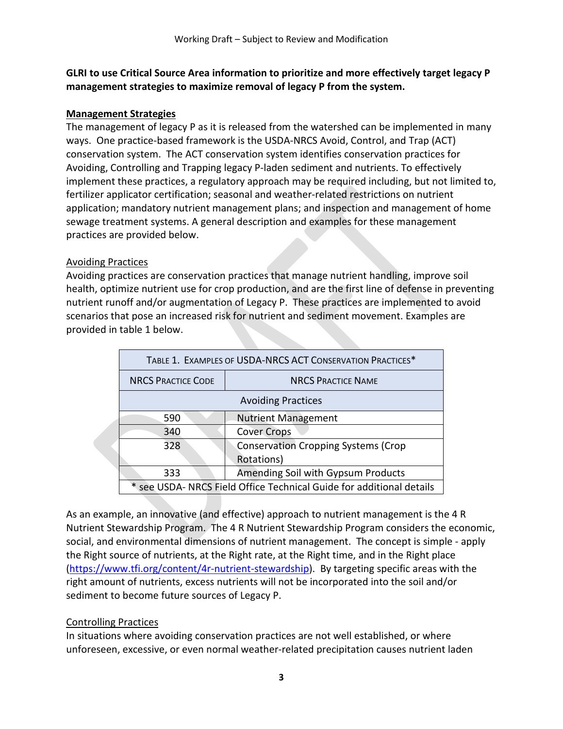### **GLRI to use Critical Source Area information to prioritize and more effectively target legacy P management strategies to maximize removal of legacy P from the system.**

### **Management Strategies**

The management of legacy P as it is released from the watershed can be implemented in many ways. One practice-based framework is the USDA-NRCS Avoid, Control, and Trap (ACT) conservation system. The ACT conservation system identifies conservation practices for Avoiding, Controlling and Trapping legacy P-laden sediment and nutrients. To effectively implement these practices, a regulatory approach may be required including, but not limited to, fertilizer applicator certification; seasonal and weather-related restrictions on nutrient application; mandatory nutrient management plans; and inspection and management of home sewage treatment systems. A general description and examples for these management practices are provided below.

### Avoiding Practices

Avoiding practices are conservation practices that manage nutrient handling, improve soil health, optimize nutrient use for crop production, and are the first line of defense in preventing nutrient runoff and/or augmentation of Legacy P. These practices are implemented to avoid scenarios that pose an increased risk for nutrient and sediment movement. Examples are provided in table 1 below.

| TABLE 1. EXAMPLES OF USDA-NRCS ACT CONSERVATION PRACTICES*           |                                                          |  |  |  |  |
|----------------------------------------------------------------------|----------------------------------------------------------|--|--|--|--|
| <b>NRCS PRACTICE CODE</b>                                            | <b>NRCS PRACTICE NAME</b>                                |  |  |  |  |
| <b>Avoiding Practices</b>                                            |                                                          |  |  |  |  |
| 590                                                                  | <b>Nutrient Management</b>                               |  |  |  |  |
| 340                                                                  | <b>Cover Crops</b>                                       |  |  |  |  |
| 328                                                                  | <b>Conservation Cropping Systems (Crop</b><br>Rotations) |  |  |  |  |
|                                                                      |                                                          |  |  |  |  |
| Amending Soil with Gypsum Products<br>333                            |                                                          |  |  |  |  |
| * see USDA- NRCS Field Office Technical Guide for additional details |                                                          |  |  |  |  |

As an example, an innovative (and effective) approach to nutrient management is the 4 R Nutrient Stewardship Program. The 4 R Nutrient Stewardship Program considers the economic, social, and environmental dimensions of nutrient management. The concept is simple - apply the Right source of nutrients, at the Right rate, at the Right time, and in the Right place [\(https://www.tfi.org/content/4r-nutrient-stewardship\)](https://www.tfi.org/content/4r-nutrient-stewardship). By targeting specific areas with the right amount of nutrients, excess nutrients will not be incorporated into the soil and/or sediment to become future sources of Legacy P.

### Controlling Practices

In situations where avoiding conservation practices are not well established, or where unforeseen, excessive, or even normal weather-related precipitation causes nutrient laden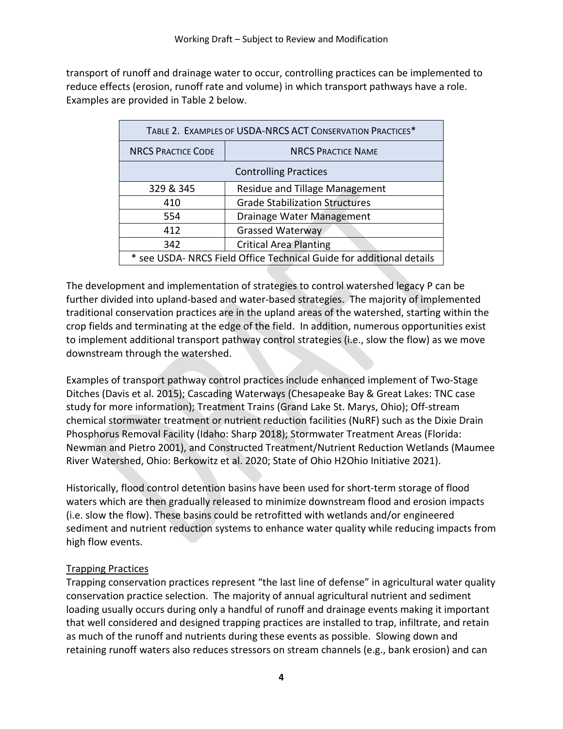transport of runoff and drainage water to occur, controlling practices can be implemented to reduce effects (erosion, runoff rate and volume) in which transport pathways have a role. Examples are provided in Table 2 below.

| TABLE 2. EXAMPLES OF USDA-NRCS ACT CONSERVATION PRACTICES*           |                                       |  |  |  |  |  |
|----------------------------------------------------------------------|---------------------------------------|--|--|--|--|--|
| <b>NRCS PRACTICE CODE</b>                                            | <b>NRCS PRACTICE NAME</b>             |  |  |  |  |  |
| <b>Controlling Practices</b>                                         |                                       |  |  |  |  |  |
| 329 & 345                                                            | Residue and Tillage Management        |  |  |  |  |  |
| 410                                                                  | <b>Grade Stabilization Structures</b> |  |  |  |  |  |
| 554                                                                  | Drainage Water Management             |  |  |  |  |  |
| 412                                                                  | <b>Grassed Waterway</b>               |  |  |  |  |  |
| 342                                                                  | <b>Critical Area Planting</b>         |  |  |  |  |  |
| * see USDA- NRCS Field Office Technical Guide for additional details |                                       |  |  |  |  |  |

The development and implementation of strategies to control watershed legacy P can be further divided into upland-based and water-based strategies. The majority of implemented traditional conservation practices are in the upland areas of the watershed, starting within the crop fields and terminating at the edge of the field. In addition, numerous opportunities exist to implement additional transport pathway control strategies (i.e., slow the flow) as we move downstream through the watershed.

Examples of transport pathway control practices include enhanced implement of Two-Stage Ditches (Davis et al. 2015); Cascading Waterways (Chesapeake Bay & Great Lakes: TNC case study for more information); Treatment Trains (Grand Lake St. Marys, Ohio); Off-stream chemical stormwater treatment or nutrient reduction facilities (NuRF) such as the Dixie Drain Phosphorus Removal Facility (Idaho: Sharp 2018); Stormwater Treatment Areas (Florida: Newman and Pietro 2001), and Constructed Treatment/Nutrient Reduction Wetlands (Maumee River Watershed, Ohio: Berkowitz et al. 2020; State of Ohio H2Ohio Initiative 2021).

Historically, flood control detention basins have been used for short-term storage of flood waters which are then gradually released to minimize downstream flood and erosion impacts (i.e. slow the flow). These basins could be retrofitted with wetlands and/or engineered sediment and nutrient reduction systems to enhance water quality while reducing impacts from high flow events.

### Trapping Practices

Trapping conservation practices represent "the last line of defense" in agricultural water quality conservation practice selection. The majority of annual agricultural nutrient and sediment loading usually occurs during only a handful of runoff and drainage events making it important that well considered and designed trapping practices are installed to trap, infiltrate, and retain as much of the runoff and nutrients during these events as possible. Slowing down and retaining runoff waters also reduces stressors on stream channels (e.g., bank erosion) and can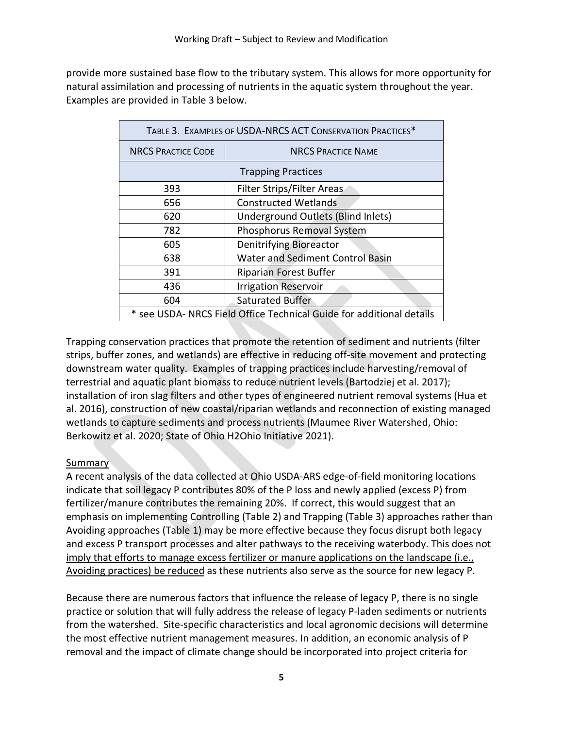provide more sustained base flow to the tributary system. This allows for more opportunity for natural assimilation and processing of nutrients in the aquatic system throughout the year. Examples are provided in Table 3 below.

| TABLE 3. EXAMPLES OF USDA-NRCS ACT CONSERVATION PRACTICES*           |                                         |  |  |  |  |  |
|----------------------------------------------------------------------|-----------------------------------------|--|--|--|--|--|
| <b>NRCS PRACTICE CODE</b>                                            | <b>NRCS PRACTICE NAME</b>               |  |  |  |  |  |
| <b>Trapping Practices</b>                                            |                                         |  |  |  |  |  |
| 393                                                                  | Filter Strips/Filter Areas              |  |  |  |  |  |
| 656                                                                  | <b>Constructed Wetlands</b>             |  |  |  |  |  |
| 620                                                                  | Underground Outlets (Blind Inlets)      |  |  |  |  |  |
| 782                                                                  | Phosphorus Removal System               |  |  |  |  |  |
| 605                                                                  | <b>Denitrifying Bioreactor</b>          |  |  |  |  |  |
| 638                                                                  | <b>Water and Sediment Control Basin</b> |  |  |  |  |  |
| 391                                                                  | <b>Riparian Forest Buffer</b>           |  |  |  |  |  |
| 436                                                                  | <b>Irrigation Reservoir</b>             |  |  |  |  |  |
| 604                                                                  | Saturated Buffer                        |  |  |  |  |  |
| * see USDA- NRCS Field Office Technical Guide for additional details |                                         |  |  |  |  |  |

Trapping conservation practices that promote the retention of sediment and nutrients (filter strips, buffer zones, and wetlands) are effective in reducing off-site movement and protecting downstream water quality. Examples of trapping practices include harvesting/removal of terrestrial and aquatic plant biomass to reduce nutrient levels (Bartodziej et al. 2017); installation of iron slag filters and other types of engineered nutrient removal systems (Hua et al. 2016), construction of new coastal/riparian wetlands and reconnection of existing managed wetlands to capture sediments and process nutrients (Maumee River Watershed, Ohio: Berkowitz et al. 2020; State of Ohio H2Ohio Initiative 2021).

### Summary

A recent analysis of the data collected at Ohio USDA-ARS edge-of-field monitoring locations indicate that soil legacy P contributes 80% of the P loss and newly applied (excess P) from fertilizer/manure contributes the remaining 20%. If correct, this would suggest that an emphasis on implementing Controlling (Table 2) and Trapping (Table 3) approaches rather than Avoiding approaches (Table 1) may be more effective because they focus disrupt both legacy and excess P transport processes and alter pathways to the receiving waterbody. This does not imply that efforts to manage excess fertilizer or manure applications on the landscape (i.e., Avoiding practices) be reduced as these nutrients also serve as the source for new legacy P.

Because there are numerous factors that influence the release of legacy P, there is no single practice or solution that will fully address the release of legacy P-laden sediments or nutrients from the watershed. Site-specific characteristics and local agronomic decisions will determine the most effective nutrient management measures. In addition, an economic analysis of P removal and the impact of climate change should be incorporated into project criteria for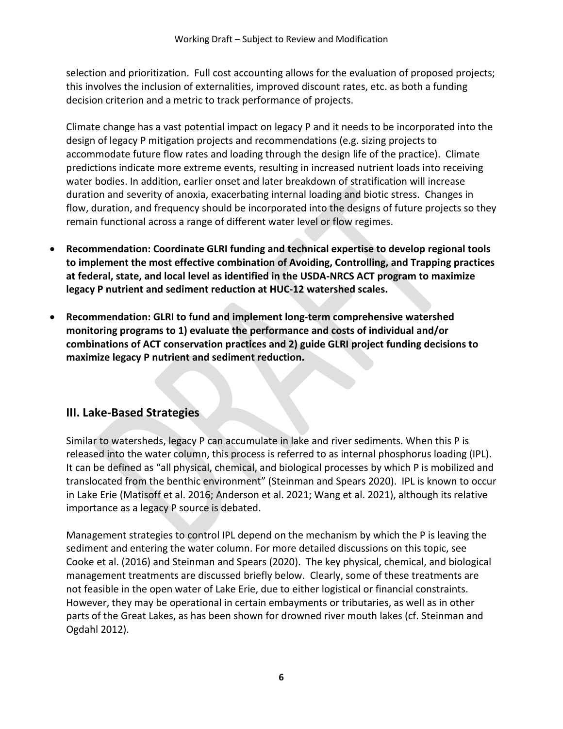selection and prioritization. Full cost accounting allows for the evaluation of proposed projects; this involves the inclusion of externalities, improved discount rates, etc. as both a funding decision criterion and a metric to track performance of projects.

Climate change has a vast potential impact on legacy P and it needs to be incorporated into the design of legacy P mitigation projects and recommendations (e.g. sizing projects to accommodate future flow rates and loading through the design life of the practice). Climate predictions indicate more extreme events, resulting in increased nutrient loads into receiving water bodies. In addition, earlier onset and later breakdown of stratification will increase duration and severity of anoxia, exacerbating internal loading and biotic stress. Changes in flow, duration, and frequency should be incorporated into the designs of future projects so they remain functional across a range of different water level or flow regimes.

- **Recommendation: Coordinate GLRI funding and technical expertise to develop regional tools to implement the most effective combination of Avoiding, Controlling, and Trapping practices at federal, state, and local level as identified in the USDA-NRCS ACT program to maximize legacy P nutrient and sediment reduction at HUC-12 watershed scales.**
- **Recommendation: GLRI to fund and implement long-term comprehensive watershed monitoring programs to 1) evaluate the performance and costs of individual and/or combinations of ACT conservation practices and 2) guide GLRI project funding decisions to maximize legacy P nutrient and sediment reduction.**

## **III. Lake-Based Strategies**

Similar to watersheds, legacy P can accumulate in lake and river sediments. When this P is released into the water column, this process is referred to as internal phosphorus loading (IPL). It can be defined as "all physical, chemical, and biological processes by which P is mobilized and translocated from the benthic environment" (Steinman and Spears 2020). IPL is known to occur in Lake Erie (Matisoff et al. 2016; Anderson et al. 2021; Wang et al. 2021), although its relative importance as a legacy P source is debated.

Management strategies to control IPL depend on the mechanism by which the P is leaving the sediment and entering the water column. For more detailed discussions on this topic, see Cooke et al. (2016) and Steinman and Spears (2020). The key physical, chemical, and biological management treatments are discussed briefly below. Clearly, some of these treatments are not feasible in the open water of Lake Erie, due to either logistical or financial constraints. However, they may be operational in certain embayments or tributaries, as well as in other parts of the Great Lakes, as has been shown for drowned river mouth lakes (cf. Steinman and Ogdahl 2012).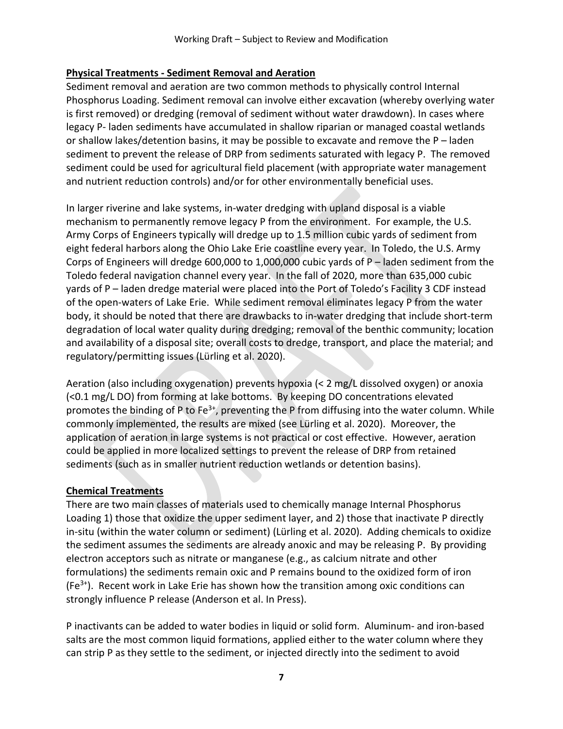### **Physical Treatments - Sediment Removal and Aeration**

Sediment removal and aeration are two common methods to physically control Internal Phosphorus Loading. Sediment removal can involve either excavation (whereby overlying water is first removed) or dredging (removal of sediment without water drawdown). In cases where legacy P- laden sediments have accumulated in shallow riparian or managed coastal wetlands or shallow lakes/detention basins, it may be possible to excavate and remove the P – laden sediment to prevent the release of DRP from sediments saturated with legacy P. The removed sediment could be used for agricultural field placement (with appropriate water management and nutrient reduction controls) and/or for other environmentally beneficial uses.

In larger riverine and lake systems, in-water dredging with upland disposal is a viable mechanism to permanently remove legacy P from the environment. For example, the U.S. Army Corps of Engineers typically will dredge up to 1.5 million cubic yards of sediment from eight federal harbors along the Ohio Lake Erie coastline every year. In Toledo, the U.S. Army Corps of Engineers will dredge 600,000 to 1,000,000 cubic yards of P – laden sediment from the Toledo federal navigation channel every year. In the fall of 2020, more than 635,000 cubic yards of P – laden dredge material were placed into the Port of Toledo's Facility 3 CDF instead of the open-waters of Lake Erie. While sediment removal eliminates legacy P from the water body, it should be noted that there are drawbacks to in-water dredging that include short-term degradation of local water quality during dredging; removal of the benthic community; location and availability of a disposal site; overall costs to dredge, transport, and place the material; and regulatory/permitting issues (Lürling et al. 2020).

Aeration (also including oxygenation) prevents hypoxia (< 2 mg/L dissolved oxygen) or anoxia (<0.1 mg/L DO) from forming at lake bottoms. By keeping DO concentrations elevated promotes the binding of P to Fe<sup>3+</sup>, preventing the P from diffusing into the water column. While commonly implemented, the results are mixed (see Lürling et al. 2020). Moreover, the application of aeration in large systems is not practical or cost effective. However, aeration could be applied in more localized settings to prevent the release of DRP from retained sediments (such as in smaller nutrient reduction wetlands or detention basins).

### **Chemical Treatments**

There are two main classes of materials used to chemically manage Internal Phosphorus Loading 1) those that oxidize the upper sediment layer, and 2) those that inactivate P directly in-situ (within the water column or sediment) (Lürling et al. 2020). Adding chemicals to oxidize the sediment assumes the sediments are already anoxic and may be releasing P. By providing electron acceptors such as nitrate or manganese (e.g., as calcium nitrate and other formulations) the sediments remain oxic and P remains bound to the oxidized form of iron  $(Fe<sup>3+</sup>)$ . Recent work in Lake Erie has shown how the transition among oxic conditions can strongly influence P release (Anderson et al. In Press).

P inactivants can be added to water bodies in liquid or solid form. Aluminum- and iron-based salts are the most common liquid formations, applied either to the water column where they can strip P as they settle to the sediment, or injected directly into the sediment to avoid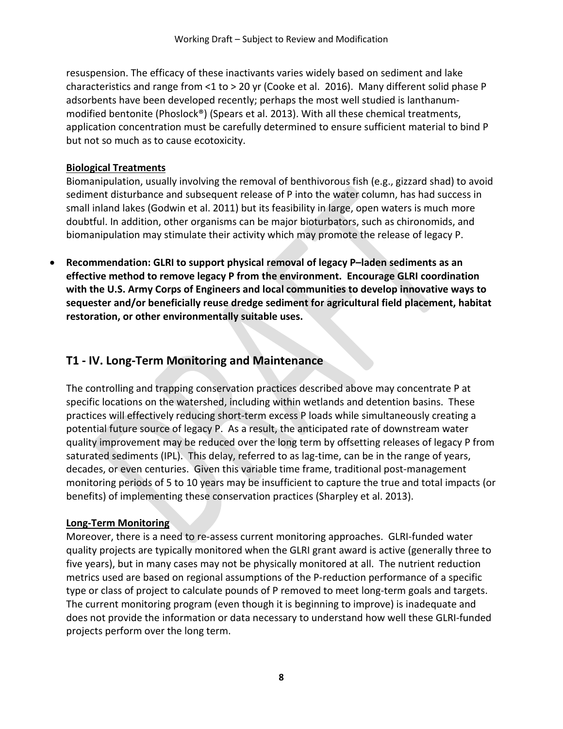resuspension. The efficacy of these inactivants varies widely based on sediment and lake characteristics and range from <1 to > 20 yr (Cooke et al. 2016). Many different solid phase P adsorbents have been developed recently; perhaps the most well studied is lanthanummodified bentonite (Phoslock®) (Spears et al. 2013). With all these chemical treatments, application concentration must be carefully determined to ensure sufficient material to bind P but not so much as to cause ecotoxicity.

### **Biological Treatments**

Biomanipulation, usually involving the removal of benthivorous fish (e.g., gizzard shad) to avoid sediment disturbance and subsequent release of P into the water column, has had success in small inland lakes (Godwin et al. 2011) but its feasibility in large, open waters is much more doubtful. In addition, other organisms can be major bioturbators, such as chironomids, and biomanipulation may stimulate their activity which may promote the release of legacy P.

• **Recommendation: GLRI to support physical removal of legacy P–laden sediments as an effective method to remove legacy P from the environment. Encourage GLRI coordination with the U.S. Army Corps of Engineers and local communities to develop innovative ways to sequester and/or beneficially reuse dredge sediment for agricultural field placement, habitat restoration, or other environmentally suitable uses.** 

# **T1 - IV. Long-Term Monitoring and Maintenance**

The controlling and trapping conservation practices described above may concentrate P at specific locations on the watershed, including within wetlands and detention basins. These practices will effectively reducing short-term excess P loads while simultaneously creating a potential future source of legacy P. As a result, the anticipated rate of downstream water quality improvement may be reduced over the long term by offsetting releases of legacy P from saturated sediments (IPL). This delay, referred to as lag-time, can be in the range of years, decades, or even centuries. Given this variable time frame, traditional post-management monitoring periods of 5 to 10 years may be insufficient to capture the true and total impacts (or benefits) of implementing these conservation practices (Sharpley et al. 2013).

### **Long-Term Monitoring**

Moreover, there is a need to re-assess current monitoring approaches. GLRI-funded water quality projects are typically monitored when the GLRI grant award is active (generally three to five years), but in many cases may not be physically monitored at all. The nutrient reduction metrics used are based on regional assumptions of the P-reduction performance of a specific type or class of project to calculate pounds of P removed to meet long-term goals and targets. The current monitoring program (even though it is beginning to improve) is inadequate and does not provide the information or data necessary to understand how well these GLRI-funded projects perform over the long term.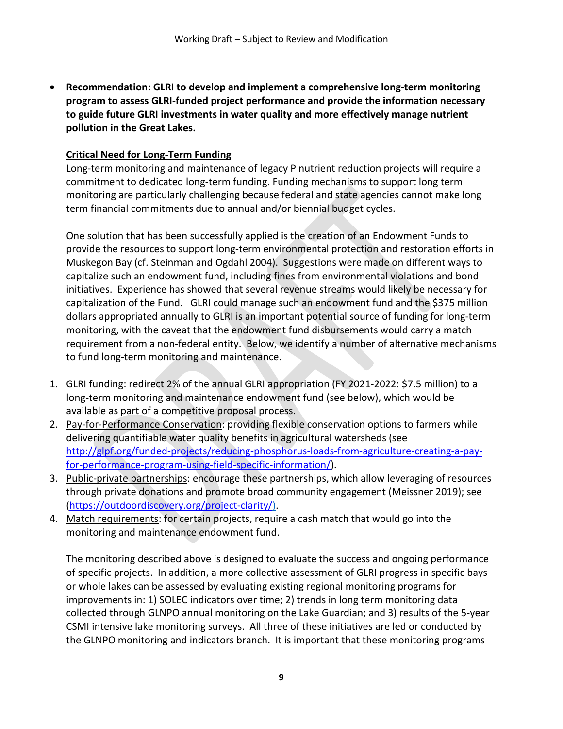• **Recommendation: GLRI to develop and implement a comprehensive long-term monitoring program to assess GLRI-funded project performance and provide the information necessary to guide future GLRI investments in water quality and more effectively manage nutrient pollution in the Great Lakes.** 

## **Critical Need for Long-Term Funding**

Long-term monitoring and maintenance of legacy P nutrient reduction projects will require a commitment to dedicated long-term funding. Funding mechanisms to support long term monitoring are particularly challenging because federal and state agencies cannot make long term financial commitments due to annual and/or biennial budget cycles.

One solution that has been successfully applied is the creation of an Endowment Funds to provide the resources to support long-term environmental protection and restoration efforts in Muskegon Bay (cf. Steinman and Ogdahl 2004). Suggestions were made on different ways to capitalize such an endowment fund, including fines from environmental violations and bond initiatives. Experience has showed that several revenue streams would likely be necessary for capitalization of the Fund. GLRI could manage such an endowment fund and the \$375 million dollars appropriated annually to GLRI is an important potential source of funding for long-term monitoring, with the caveat that the endowment fund disbursements would carry a match requirement from a non-federal entity. Below, we identify a number of alternative mechanisms to fund long-term monitoring and maintenance.

- 1. GLRI funding: redirect 2% of the annual GLRI appropriation (FY 2021-2022: \$7.5 million) to a long-term monitoring and maintenance endowment fund (see below), which would be available as part of a competitive proposal process.
- 2. Pay-for-Performance Conservation: providing flexible conservation options to farmers while delivering quantifiable water quality benefits in agricultural watersheds (see [http://glpf.org/funded-projects/reducing-phosphorus-loads-from-agriculture-creating-a-pay](http://glpf.org/funded-projects/reducing-phosphorus-loads-from-agriculture-creating-a-pay-for-performance-program-using-field-specific-information/)[for-performance-program-using-field-specific-information/\)](http://glpf.org/funded-projects/reducing-phosphorus-loads-from-agriculture-creating-a-pay-for-performance-program-using-field-specific-information/).
- 3. Public-private partnerships: encourage these partnerships, which allow leveraging of resources through private donations and promote broad community engagement (Meissner 2019); see [\(https://outdoordiscovery.org/project-clarity/\)](https://outdoordiscovery.org/project-clarity/).
- 4. Match requirements: for certain projects, require a cash match that would go into the monitoring and maintenance endowment fund.

The monitoring described above is designed to evaluate the success and ongoing performance of specific projects. In addition, a more collective assessment of GLRI progress in specific bays or whole lakes can be assessed by evaluating existing regional monitoring programs for improvements in: 1) SOLEC indicators over time; 2) trends in long term monitoring data collected through GLNPO annual monitoring on the Lake Guardian; and 3) results of the 5-year CSMI intensive lake monitoring surveys. All three of these initiatives are led or conducted by the GLNPO monitoring and indicators branch. It is important that these monitoring programs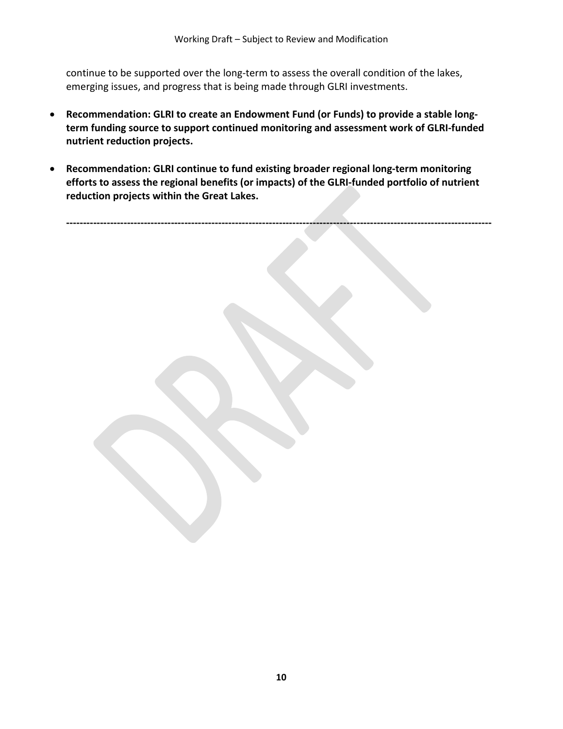continue to be supported over the long-term to assess the overall condition of the lakes, emerging issues, and progress that is being made through GLRI investments.

- **Recommendation: GLRI to create an Endowment Fund (or Funds) to provide a stable longterm funding source to support continued monitoring and assessment work of GLRI-funded nutrient reduction projects.**
- **Recommendation: GLRI continue to fund existing broader regional long-term monitoring efforts to assess the regional benefits (or impacts) of the GLRI-funded portfolio of nutrient reduction projects within the Great Lakes.**

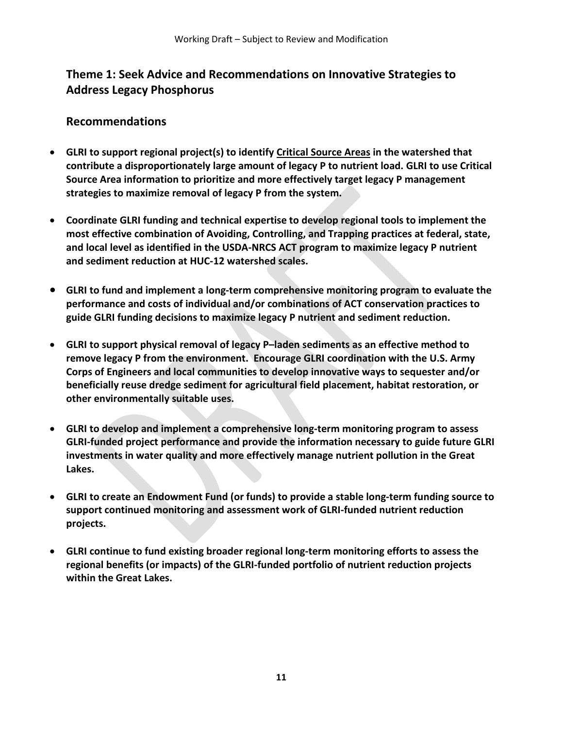# **Theme 1: Seek Advice and Recommendations on Innovative Strategies to Address Legacy Phosphorus**

### **Recommendations**

- **GLRI to support regional project(s) to identify Critical Source Areas in the watershed that contribute a disproportionately large amount of legacy P to nutrient load. GLRI to use Critical Source Area information to prioritize and more effectively target legacy P management strategies to maximize removal of legacy P from the system.**
- **Coordinate GLRI funding and technical expertise to develop regional tools to implement the most effective combination of Avoiding, Controlling, and Trapping practices at federal, state, and local level as identified in the USDA-NRCS ACT program to maximize legacy P nutrient and sediment reduction at HUC-12 watershed scales.**
- **GLRI to fund and implement a long-term comprehensive monitoring program to evaluate the performance and costs of individual and/or combinations of ACT conservation practices to guide GLRI funding decisions to maximize legacy P nutrient and sediment reduction.**
- **GLRI to support physical removal of legacy P–laden sediments as an effective method to remove legacy P from the environment. Encourage GLRI coordination with the U.S. Army Corps of Engineers and local communities to develop innovative ways to sequester and/or beneficially reuse dredge sediment for agricultural field placement, habitat restoration, or other environmentally suitable uses.**
- **GLRI to develop and implement a comprehensive long-term monitoring program to assess GLRI-funded project performance and provide the information necessary to guide future GLRI investments in water quality and more effectively manage nutrient pollution in the Great Lakes.**
- **GLRI to create an Endowment Fund (or funds) to provide a stable long-term funding source to support continued monitoring and assessment work of GLRI-funded nutrient reduction projects.**
- **GLRI continue to fund existing broader regional long-term monitoring efforts to assess the regional benefits (or impacts) of the GLRI-funded portfolio of nutrient reduction projects within the Great Lakes.**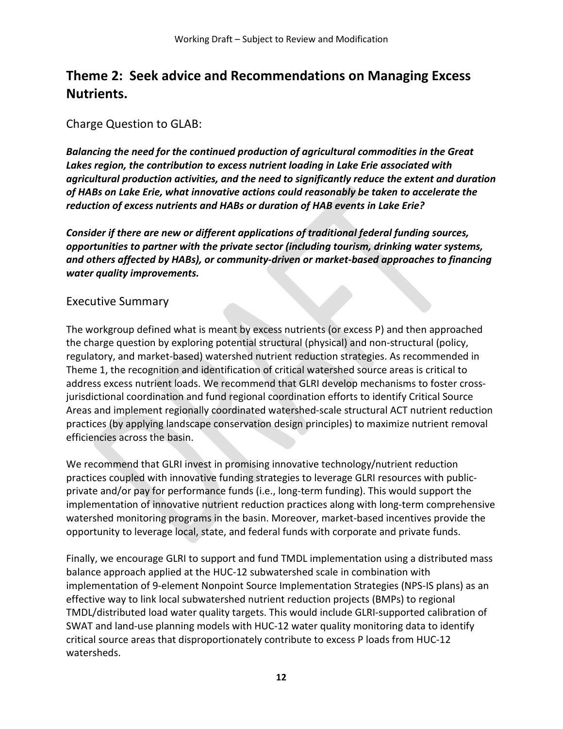# **Theme 2: Seek advice and Recommendations on Managing Excess Nutrients.**

### Charge Question to GLAB:

*Balancing the need for the continued production of agricultural commodities in the Great Lakes region, the contribution to excess nutrient loading in Lake Erie associated with agricultural production activities, and the need to significantly reduce the extent and duration of HABs on Lake Erie, what innovative actions could reasonably be taken to accelerate the reduction of excess nutrients and HABs or duration of HAB events in Lake Erie?* 

*Consider if there are new or different applications of traditional federal funding sources, opportunities to partner with the private sector (including tourism, drinking water systems, and others affected by HABs), or community-driven or market-based approaches to financing water quality improvements.*

### Executive Summary

The workgroup defined what is meant by excess nutrients (or excess P) and then approached the charge question by exploring potential structural (physical) and non-structural (policy, regulatory, and market-based) watershed nutrient reduction strategies. As recommended in Theme 1, the recognition and identification of critical watershed source areas is critical to address excess nutrient loads. We recommend that GLRI develop mechanisms to foster crossjurisdictional coordination and fund regional coordination efforts to identify Critical Source Areas and implement regionally coordinated watershed-scale structural ACT nutrient reduction practices (by applying landscape conservation design principles) to maximize nutrient removal efficiencies across the basin.

We recommend that GLRI invest in promising innovative technology/nutrient reduction practices coupled with innovative funding strategies to leverage GLRI resources with publicprivate and/or pay for performance funds (i.e., long-term funding). This would support the implementation of innovative nutrient reduction practices along with long-term comprehensive watershed monitoring programs in the basin. Moreover, market-based incentives provide the opportunity to leverage local, state, and federal funds with corporate and private funds.

Finally, we encourage GLRI to support and fund TMDL implementation using a distributed mass balance approach applied at the HUC-12 subwatershed scale in combination with implementation of 9-element Nonpoint Source Implementation Strategies (NPS-IS plans) as an effective way to link local subwatershed nutrient reduction projects (BMPs) to regional TMDL/distributed load water quality targets. This would include GLRI-supported calibration of SWAT and land-use planning models with HUC-12 water quality monitoring data to identify critical source areas that disproportionately contribute to excess P loads from HUC-12 watersheds.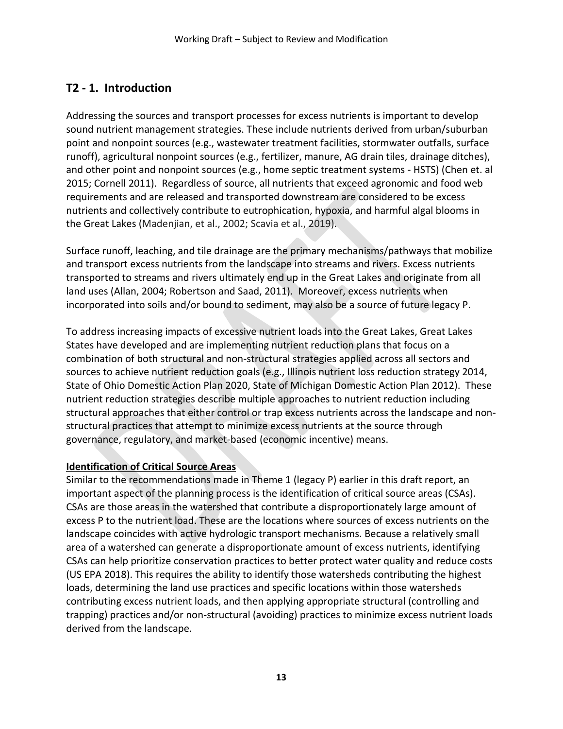# **T2 - 1. Introduction**

Addressing the sources and transport processes for excess nutrients is important to develop sound nutrient management strategies. These include nutrients derived from urban/suburban point and nonpoint sources (e.g., wastewater treatment facilities, stormwater outfalls, surface runoff), agricultural nonpoint sources (e.g., fertilizer, manure, AG drain tiles, drainage ditches), and other point and nonpoint sources (e.g., home septic treatment systems - HSTS) (Chen et. al 2015; Cornell 2011). Regardless of source, all nutrients that exceed agronomic and food web requirements and are released and transported downstream are considered to be excess nutrients and collectively contribute to eutrophication, hypoxia, and harmful algal blooms in the Great Lakes (Madenjian, et al., 2002; Scavia et al., 2019).

Surface runoff, leaching, and tile drainage are the primary mechanisms/pathways that mobilize and transport excess nutrients from the landscape into streams and rivers. Excess nutrients transported to streams and rivers ultimately end up in the Great Lakes and originate from all land uses (Allan, 2004; Robertson and Saad, 2011). Moreover, excess nutrients when incorporated into soils and/or bound to sediment, may also be a source of future legacy P.

To address increasing impacts of excessive nutrient loads into the Great Lakes, Great Lakes States have developed and are implementing nutrient reduction plans that focus on a combination of both structural and non-structural strategies applied across all sectors and sources to achieve nutrient reduction goals (e.g., Illinois nutrient loss reduction strategy [2](http://www.epa.state.il.us/water/nutrient/documents/illinois-nlrs-public-comment-11-20-14.pdf)014, State of Ohio Domestic Action Plan 2020, State of Michigan Domestic Action Plan 2012). These nutrient reduction strategies describe multiple approaches to nutrient reduction including structural approaches that either control or trap excess nutrients across the landscape and nonstructural practices that attempt to minimize excess nutrients at the source through governance, regulatory, and market-based (economic incentive) means.

### **Identification of Critical Source Areas**

Similar to the recommendations made in Theme 1 (legacy P) earlier in this draft report, an important aspect of the planning process is the identification of critical source areas (CSAs). CSAs are those areas in the watershed that contribute a disproportionately large amount of excess P to the nutrient load. These are the locations where sources of excess nutrients on the landscape coincides with active hydrologic transport mechanisms. Because a relatively small area of a watershed can generate a disproportionate amount of excess nutrients, identifying CSAs can help prioritize conservation practices to better protect water quality and reduce costs (US EPA 2018). This requires the ability to identify those watersheds contributing the highest loads, determining the land use practices and specific locations within those watersheds contributing excess nutrient loads, and then applying appropriate structural (controlling and trapping) practices and/or non-structural (avoiding) practices to minimize excess nutrient loads derived from the landscape.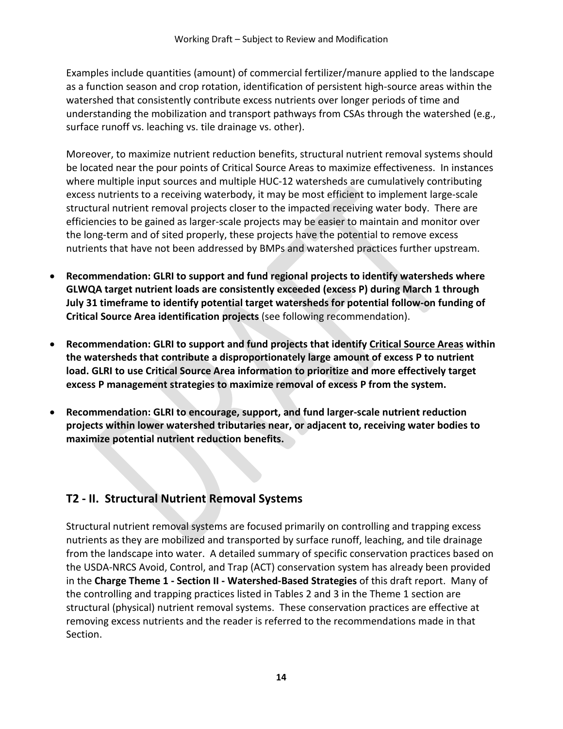Examples include quantities (amount) of commercial fertilizer/manure applied to the landscape as a function season and crop rotation, identification of persistent high-source areas within the watershed that consistently contribute excess nutrients over longer periods of time and understanding the mobilization and transport pathways from CSAs through the watershed (e.g., surface runoff vs. leaching vs. tile drainage vs. other).

Moreover, to maximize nutrient reduction benefits, structural nutrient removal systems should be located near the pour points of Critical Source Areas to maximize effectiveness. In instances where multiple input sources and multiple HUC-12 watersheds are cumulatively contributing excess nutrients to a receiving waterbody, it may be most efficient to implement large-scale structural nutrient removal projects closer to the impacted receiving water body. There are efficiencies to be gained as larger-scale projects may be easier to maintain and monitor over the long-term and of sited properly, these projects have the potential to remove excess nutrients that have not been addressed by BMPs and watershed practices further upstream.

- **Recommendation: GLRI to support and fund regional projects to identify watersheds where GLWQA target nutrient loads are consistently exceeded (excess P) during March 1 through July 31 timeframe to identify potential target watersheds for potential follow-on funding of Critical Source Area identification projects** (see following recommendation).
- **Recommendation: GLRI to support and fund projects that identify Critical Source Areas within the watersheds that contribute a disproportionately large amount of excess P to nutrient load. GLRI to use Critical Source Area information to prioritize and more effectively target excess P management strategies to maximize removal of excess P from the system.**
- **Recommendation: GLRI to encourage, support, and fund larger-scale nutrient reduction projects within lower watershed tributaries near, or adjacent to, receiving water bodies to maximize potential nutrient reduction benefits.**

# **T2 - II. Structural Nutrient Removal Systems**

Structural nutrient removal systems are focused primarily on controlling and trapping excess nutrients as they are mobilized and transported by surface runoff, leaching, and tile drainage from the landscape into water. A detailed summary of specific conservation practices based on the USDA-NRCS Avoid, Control, and Trap (ACT) conservation system has already been provided in the **Charge Theme 1 - Section II - Watershed-Based Strategies** of this draft report. Many of the controlling and trapping practices listed in Tables 2 and 3 in the Theme 1 section are structural (physical) nutrient removal systems. These conservation practices are effective at removing excess nutrients and the reader is referred to the recommendations made in that Section.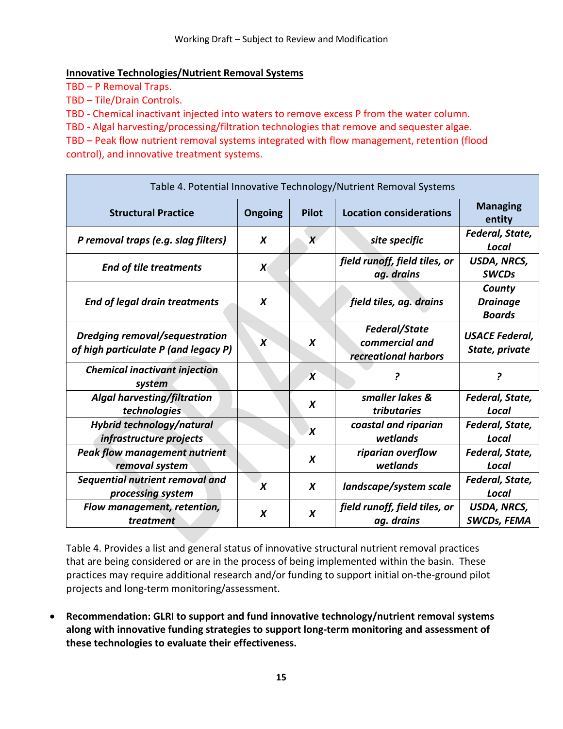### **Innovative Technologies/Nutrient Removal Systems**

TBD – P Removal Traps.

TBD – Tile/Drain Controls.

TBD - Chemical inactivant injected into waters to remove excess P from the water column.

TBD - Algal harvesting/processing/filtration technologies that remove and sequester algae.

TBD – Peak flow nutrient removal systems integrated with flow management, retention (flood control), and innovative treatment systems.

| Table 4. Potential Innovative Technology/Nutrient Removal Systems             |                  |                           |                                                                |                                            |  |  |  |
|-------------------------------------------------------------------------------|------------------|---------------------------|----------------------------------------------------------------|--------------------------------------------|--|--|--|
| <b>Structural Practice</b>                                                    | <b>Ongoing</b>   | <b>Pilot</b>              | <b>Location considerations</b>                                 | <b>Managing</b><br>entity                  |  |  |  |
| P removal traps (e.g. slag filters)                                           | X                | X                         | site specific                                                  | Federal, State,<br>Local                   |  |  |  |
| <b>End of tile treatments</b>                                                 | $\boldsymbol{X}$ |                           | field runoff, field tiles, or<br>ag. drains                    | USDA, NRCS,<br><b>SWCDs</b>                |  |  |  |
| <b>End of legal drain treatments</b>                                          | X                |                           | field tiles, ag. drains                                        | County<br><b>Drainage</b><br><b>Boards</b> |  |  |  |
| <b>Dredging removal/sequestration</b><br>of high particulate P (and legacy P) | X                | X                         | <b>Federal/State</b><br>commercial and<br>recreational harbors | <b>USACE Federal,</b><br>State, private    |  |  |  |
| <b>Chemical inactivant injection</b><br>system                                |                  | $\boldsymbol{\chi}$       | ?                                                              | 2                                          |  |  |  |
| Algal harvesting/filtration<br>technologies                                   |                  | X                         | smaller lakes &<br>tributaries                                 | Federal, State,<br>Local                   |  |  |  |
| Hybrid technology/natural<br>infrastructure projects                          |                  | $\boldsymbol{\mathsf{x}}$ | coastal and riparian<br>wetlands                               | Federal, State,<br>Local                   |  |  |  |
| <b>Peak flow management nutrient</b><br>removal system                        |                  | $\boldsymbol{X}$          | riparian overflow<br>wetlands                                  | Federal, State,<br><b>Local</b>            |  |  |  |
| Sequential nutrient removal and<br>processing system                          | X                | X                         | landscape/system scale                                         | Federal, State,<br>Local                   |  |  |  |
| Flow management, retention,<br>treatment                                      | X                | X                         | field runoff, field tiles, or<br>ag. drains                    | USDA, NRCS,<br>SWCDs, FEMA                 |  |  |  |

Table 4. Provides a list and general status of innovative structural nutrient removal practices that are being considered or are in the process of being implemented within the basin. These practices may require additional research and/or funding to support initial on-the-ground pilot projects and long-term monitoring/assessment.

• **Recommendation: GLRI to support and fund innovative technology/nutrient removal systems along with innovative funding strategies to support long-term monitoring and assessment of these technologies to evaluate their effectiveness.**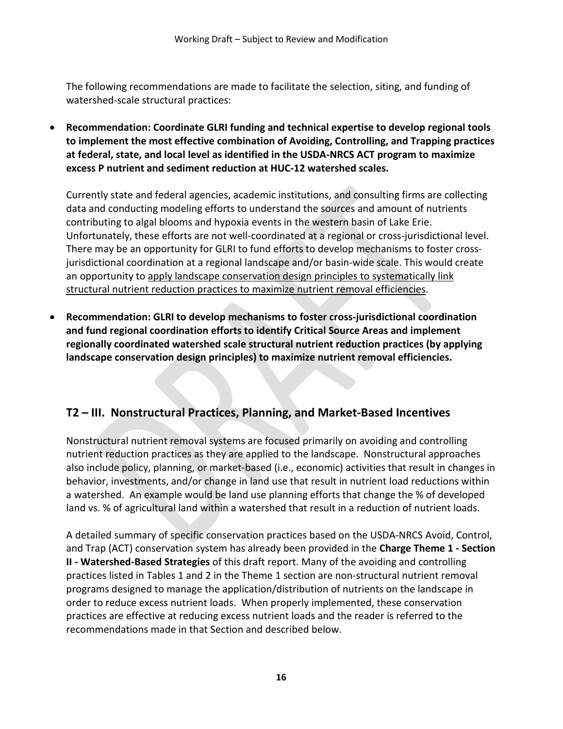The following recommendations are made to facilitate the selection, siting, and funding of watershed-scale structural practices:

• **Recommendation: Coordinate GLRI funding and technical expertise to develop regional tools to implement the most effective combination of Avoiding, Controlling, and Trapping practices at federal, state, and local level as identified in the USDA-NRCS ACT program to maximize excess P nutrient and sediment reduction at HUC-12 watershed scales.**

Currently state and federal agencies, academic institutions, and consulting firms are collecting data and conducting modeling efforts to understand the sources and amount of nutrients contributing to algal blooms and hypoxia events in the western basin of Lake Erie. Unfortunately, these efforts are not well-coordinated at a regional or cross-jurisdictional level. There may be an opportunity for GLRI to fund efforts to develop mechanisms to foster crossjurisdictional coordination at a regional landscape and/or basin-wide scale. This would create an opportunity to apply landscape conservation design principles to systematically link structural nutrient reduction practices to maximize nutrient removal efficiencies.

• **Recommendation: GLRI to develop mechanisms to foster cross-jurisdictional coordination and fund regional coordination efforts to identify Critical Source Areas and implement regionally coordinated watershed scale structural nutrient reduction practices (by applying landscape conservation design principles) to maximize nutrient removal efficiencies.**

## **T2 – III. Nonstructural Practices, Planning, and Market-Based Incentives**

Nonstructural nutrient removal systems are focused primarily on avoiding and controlling nutrient reduction practices as they are applied to the landscape. Nonstructural approaches also include policy, planning, or market-based (i.e., economic) activities that result in changes in behavior, investments, and/or change in land use that result in nutrient load reductions within a watershed. An example would be land use planning efforts that change the % of developed land vs. % of agricultural land within a watershed that result in a reduction of nutrient loads.

A detailed summary of specific conservation practices based on the USDA-NRCS Avoid, Control, and Trap (ACT) conservation system has already been provided in the **Charge Theme 1 - Section II - Watershed-Based Strategies** of this draft report. Many of the avoiding and controlling practices listed in Tables 1 and 2 in the Theme 1 section are non-structural nutrient removal programs designed to manage the application/distribution of nutrients on the landscape in order to reduce excess nutrient loads. When properly implemented, these conservation practices are effective at reducing excess nutrient loads and the reader is referred to the recommendations made in that Section and described below.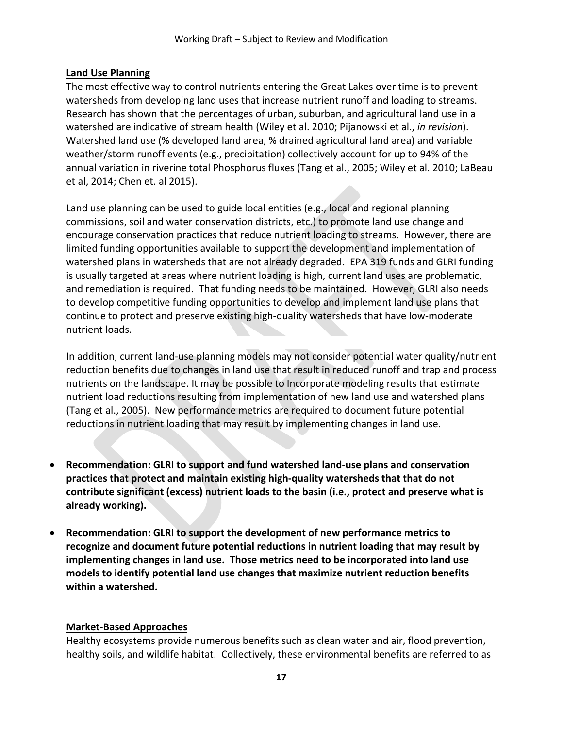### **Land Use Planning**

The most effective way to control nutrients entering the Great Lakes over time is to prevent watersheds from developing land uses that increase nutrient runoff and loading to streams. Research has shown that the percentages of urban, suburban, and agricultural land use in a watershed are indicative of stream health (Wiley et al. 2010; Pijanowski et al., *in revision*). Watershed land use (% developed land area, % drained agricultural land area) and variable weather/storm runoff events (e.g., precipitation) collectively account for up to 94% of the annual variation in riverine total Phosphorus fluxes (Tang et al., 2005; Wiley et al. 2010; LaBeau et al, 2014; Chen et. al 2015).

Land use planning can be used to guide local entities (e.g., local and regional planning commissions, soil and water conservation districts, etc.) to promote land use change and encourage conservation practices that reduce nutrient loading to streams. However, there are limited funding opportunities available to support the development and implementation of watershed plans in watersheds that are not already degraded. EPA 319 funds and GLRI funding is usually targeted at areas where nutrient loading is high, current land uses are problematic, and remediation is required. That funding needs to be maintained. However, GLRI also needs to develop competitive funding opportunities to develop and implement land use plans that continue to protect and preserve existing high-quality watersheds that have low-moderate nutrient loads.

In addition, current land-use planning models may not consider potential water quality/nutrient reduction benefits due to changes in land use that result in reduced runoff and trap and process nutrients on the landscape. It may be possible to Incorporate modeling results that estimate nutrient load reductions resulting from implementation of new land use and watershed plans (Tang et al., 2005). New performance metrics are required to document future potential reductions in nutrient loading that may result by implementing changes in land use.

- **Recommendation: GLRI to support and fund watershed land-use plans and conservation practices that protect and maintain existing high-quality watersheds that that do not contribute significant (excess) nutrient loads to the basin (i.e., protect and preserve what is already working).**
- **Recommendation: GLRI to support the development of new performance metrics to recognize and document future potential reductions in nutrient loading that may result by implementing changes in land use. Those metrics need to be incorporated into land use models to identify potential land use changes that maximize nutrient reduction benefits within a watershed.**

### **Market-Based Approaches**

Healthy ecosystems provide numerous benefits such as clean water and air, flood prevention, healthy soils, and wildlife habitat. Collectively, these environmental benefits are referred to as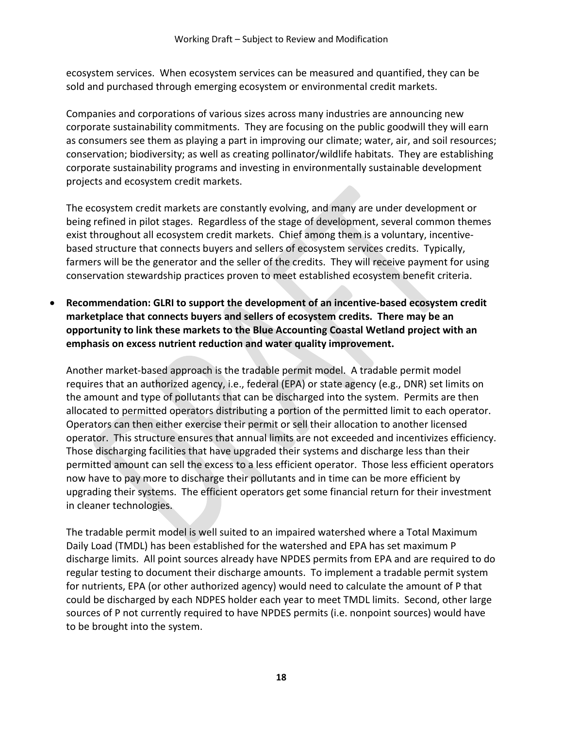ecosystem services. When ecosystem services can be measured and quantified, they can be sold and purchased through emerging ecosystem or environmental credit markets.

Companies and corporations of various sizes across many industries are announcing new corporate sustainability commitments. They are focusing on the public goodwill they will earn as consumers see them as playing a part in improving our climate; water, air, and soil resources; conservation; biodiversity; as well as creating pollinator/wildlife habitats. They are establishing corporate sustainability programs and investing in environmentally sustainable development projects and ecosystem credit markets.

The ecosystem credit markets are constantly evolving, and many are under development or being refined in pilot stages. Regardless of the stage of development, several common themes exist throughout all ecosystem credit markets. Chief among them is a voluntary, incentivebased structure that connects buyers and sellers of ecosystem services credits. Typically, farmers will be the generator and the seller of the credits. They will receive payment for using conservation stewardship practices proven to meet established ecosystem benefit criteria.

• **Recommendation: GLRI to support the development of an incentive-based ecosystem credit marketplace that connects buyers and sellers of ecosystem credits. There may be an opportunity to link these markets to the Blue Accounting Coastal Wetland project with an emphasis on excess nutrient reduction and water quality improvement.**

Another market-based approach is the tradable permit model. A tradable permit model requires that an authorized agency, i.e., federal (EPA) or state agency (e.g., DNR) set limits on the amount and type of pollutants that can be discharged into the system. Permits are then allocated to permitted operators distributing a portion of the permitted limit to each operator. Operators can then either exercise their permit or sell their allocation to another licensed operator. This structure ensures that annual limits are not exceeded and incentivizes efficiency. Those discharging facilities that have upgraded their systems and discharge less than their permitted amount can sell the excess to a less efficient operator. Those less efficient operators now have to pay more to discharge their pollutants and in time can be more efficient by upgrading their systems. The efficient operators get some financial return for their investment in cleaner technologies.

The tradable permit model is well suited to an impaired watershed where a Total Maximum Daily Load (TMDL) has been established for the watershed and EPA has set maximum P discharge limits. All point sources already have NPDES permits from EPA and are required to do regular testing to document their discharge amounts. To implement a tradable permit system for nutrients, EPA (or other authorized agency) would need to calculate the amount of P that could be discharged by each NDPES holder each year to meet TMDL limits. Second, other large sources of P not currently required to have NPDES permits (i.e. nonpoint sources) would have to be brought into the system.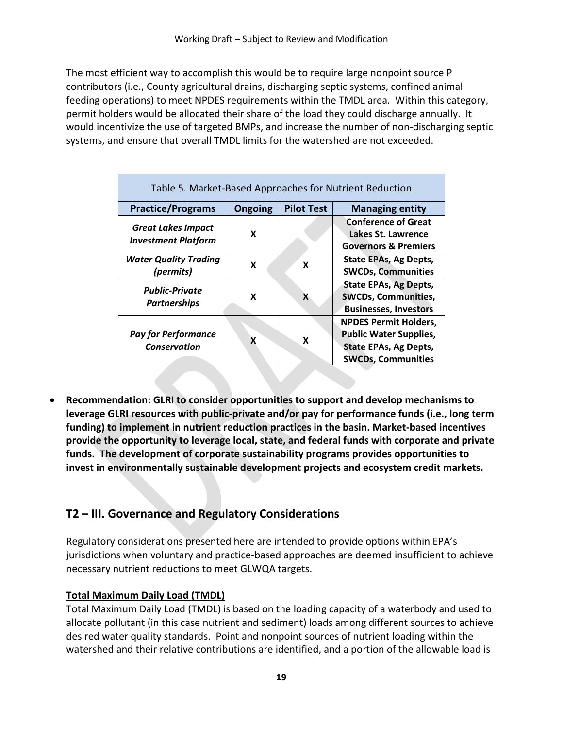The most efficient way to accomplish this would be to require large nonpoint source P contributors (i.e., County agricultural drains, discharging septic systems, confined animal feeding operations) to meet NPDES requirements within the TMDL area. Within this category, permit holders would be allocated their share of the load they could discharge annually. It would incentivize the use of targeted BMPs, and increase the number of non-discharging septic systems, and ensure that overall TMDL limits for the watershed are not exceeded.

| Table 5. Market-Based Approaches for Nutrient Reduction |         |                   |                                                                                                                            |  |  |  |  |  |
|---------------------------------------------------------|---------|-------------------|----------------------------------------------------------------------------------------------------------------------------|--|--|--|--|--|
| <b>Practice/Programs</b>                                | Ongoing | <b>Pilot Test</b> | <b>Managing entity</b>                                                                                                     |  |  |  |  |  |
| <b>Great Lakes Impact</b><br><b>Investment Platform</b> | X       |                   | <b>Conference of Great</b><br>Lakes St. Lawrence<br><b>Governors &amp; Premiers</b>                                        |  |  |  |  |  |
| <b>Water Quality Trading</b><br>(permits)               | X       | X                 | <b>State EPAs, Ag Depts,</b><br><b>SWCDs, Communities</b>                                                                  |  |  |  |  |  |
| <b>Public-Private</b><br><b>Partnerships</b>            | X       | X                 | <b>State EPAs, Ag Depts,</b><br><b>SWCDs, Communities,</b><br><b>Businesses, Investors</b>                                 |  |  |  |  |  |
| <b>Pay for Performance</b><br><b>Conservation</b>       | X       | X                 | <b>NPDES Permit Holders,</b><br><b>Public Water Supplies,</b><br><b>State EPAs, Ag Depts,</b><br><b>SWCDs, Communities</b> |  |  |  |  |  |

• **Recommendation: GLRI to consider opportunities to support and develop mechanisms to leverage GLRI resources with public-private and/or pay for performance funds (i.e., long term funding) to implement in nutrient reduction practices in the basin. Market-based incentives provide the opportunity to leverage local, state, and federal funds with corporate and private funds. The development of corporate sustainability programs provides opportunities to invest in environmentally sustainable development projects and ecosystem credit markets.** 

# **T2 – III. Governance and Regulatory Considerations**

Regulatory considerations presented here are intended to provide options within EPA's jurisdictions when voluntary and practice-based approaches are deemed insufficient to achieve necessary nutrient reductions to meet GLWQA targets.

### **Total Maximum Daily Load (TMDL)**

Total Maximum Daily Load (TMDL) is based on the loading capacity of a waterbody and used to allocate pollutant (in this case nutrient and sediment) loads among different sources to achieve desired water quality standards. Point and nonpoint sources of nutrient loading within the watershed and their relative contributions are identified, and a portion of the allowable load is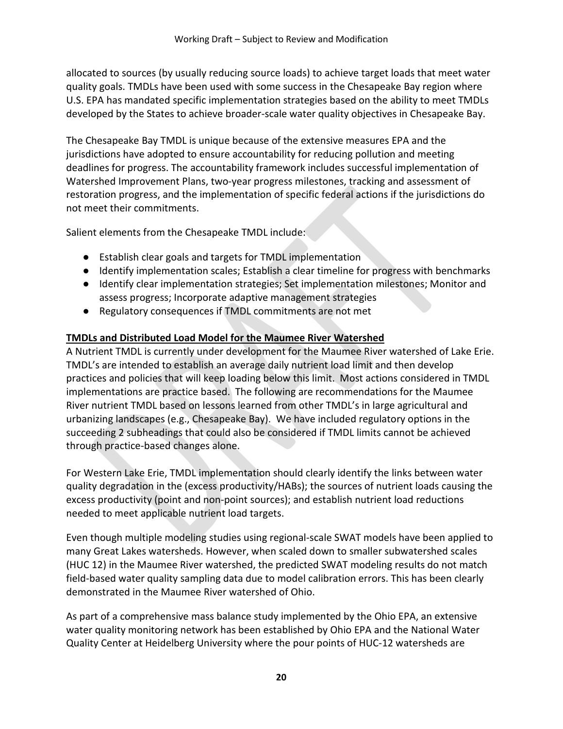allocated to sources (by usually reducing source loads) to achieve target loads that meet water quality goals. TMDLs have been used with some success in the Chesapeake Bay region where U.S. EPA has mandated specific implementation strategies based on the ability to meet TMDLs developed by the States to achieve broader-scale water quality objectives in Chesapeake Bay.

The Chesapeake Bay TMDL is unique because of the extensive measures EPA and the jurisdictions have adopted to ensure accountability for reducing pollution and meeting deadlines for progress. The accountability framework includes successful implementation of Watershed Improvement Plans, two-year progress milestones, tracking and assessment of restoration progress, and the implementation of specific federal actions if the jurisdictions do not meet their commitments.

Salient elements from the Chesapeake TMDL include:

- Establish clear goals and targets for TMDL implementation
- Identify implementation scales; Establish a clear timeline for progress with benchmarks
- Identify clear implementation strategies; Set implementation milestones; Monitor and assess progress; Incorporate adaptive management strategies
- Regulatory consequences if TMDL commitments are not met

### **TMDLs and Distributed Load Model for the Maumee River Watershed**

A Nutrient TMDL is currently under development for the Maumee River watershed of Lake Erie. TMDL's are intended to establish an average daily nutrient load limit and then develop practices and policies that will keep loading below this limit. Most actions considered in TMDL implementations are practice based. The following are recommendations for the Maumee River nutrient TMDL based on lessons learned from other TMDL's in large agricultural and urbanizing landscapes (e.g., Chesapeake Bay). We have included regulatory options in the succeeding 2 subheadings that could also be considered if TMDL limits cannot be achieved through practice-based changes alone.

For Western Lake Erie, TMDL implementation should clearly identify the links between water quality degradation in the (excess productivity/HABs); the sources of nutrient loads causing the excess productivity (point and non-point sources); and establish nutrient load reductions needed to meet applicable nutrient load targets.

Even though multiple modeling studies using regional-scale SWAT models have been applied to many Great Lakes watersheds. However, when scaled down to smaller subwatershed scales (HUC 12) in the Maumee River watershed, the predicted SWAT modeling results do not match field-based water quality sampling data due to model calibration errors. This has been clearly demonstrated in the Maumee River watershed of Ohio.

As part of a comprehensive mass balance study implemented by the Ohio EPA, an extensive water quality monitoring network has been established by Ohio EPA and the National Water Quality Center at Heidelberg University where the pour points of HUC-12 watersheds are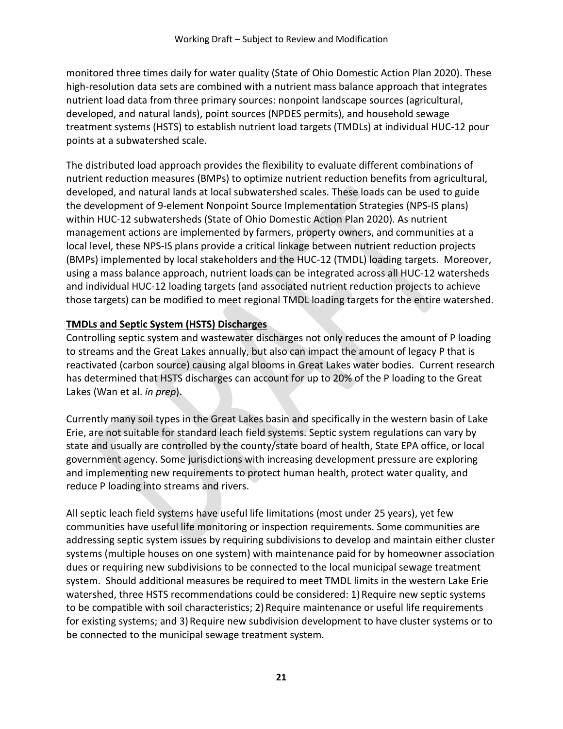monitored three times daily for water quality (State of Ohio Domestic Action Plan 2020). These high-resolution data sets are combined with a nutrient mass balance approach that integrates nutrient load data from three primary sources: nonpoint landscape sources (agricultural, developed, and natural lands), point sources (NPDES permits), and household sewage treatment systems (HSTS) to establish nutrient load targets (TMDLs) at individual HUC-12 pour points at a subwatershed scale.

The distributed load approach provides the flexibility to evaluate different combinations of nutrient reduction measures (BMPs) to optimize nutrient reduction benefits from agricultural, developed, and natural lands at local subwatershed scales. These loads can be used to guide the development of 9-element Nonpoint Source Implementation Strategies (NPS-IS plans) within HUC-12 subwatersheds (State of Ohio Domestic Action Plan 2020). As nutrient management actions are implemented by farmers, property owners, and communities at a local level, these NPS-IS plans provide a critical linkage between nutrient reduction projects (BMPs) implemented by local stakeholders and the HUC-12 (TMDL) loading targets. Moreover, using a mass balance approach, nutrient loads can be integrated across all HUC-12 watersheds and individual HUC-12 loading targets (and associated nutrient reduction projects to achieve those targets) can be modified to meet regional TMDL loading targets for the entire watershed.

## **TMDLs and Septic System (HSTS) Discharges**

Controlling septic system and wastewater discharges not only reduces the amount of P loading to streams and the Great Lakes annually, but also can impact the amount of legacy P that is reactivated (carbon source) causing algal blooms in Great Lakes water bodies. Current research has determined that HSTS discharges can account for up to 20% of the P loading to the Great Lakes (Wan et al. *in prep*).

Currently many soil types in the Great Lakes basin and specifically in the western basin of Lake Erie, are not suitable for standard leach field systems. Septic system regulations can vary by state and usually are controlled by the county/state board of health, State EPA office, or local government agency. Some jurisdictions with increasing development pressure are exploring and implementing new requirements to protect human health, protect water quality, and reduce P loading into streams and rivers.

All septic leach field systems have useful life limitations (most under 25 years), yet few communities have useful life monitoring or inspection requirements. Some communities are addressing septic system issues by requiring subdivisions to develop and maintain either cluster systems (multiple houses on one system) with maintenance paid for by homeowner association dues or requiring new subdivisions to be connected to the local municipal sewage treatment system. Should additional measures be required to meet TMDL limits in the western Lake Erie watershed, three HSTS recommendations could be considered: 1) Require new septic systems to be compatible with soil characteristics; 2) Require maintenance or useful life requirements for existing systems; and 3) Require new subdivision development to have cluster systems or to be connected to the municipal sewage treatment system.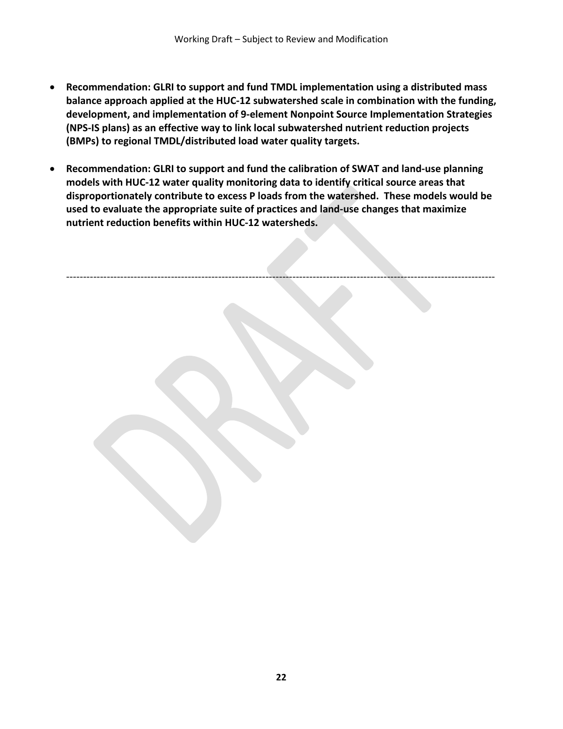- **Recommendation: GLRI to support and fund TMDL implementation using a distributed mass balance approach applied at the HUC-12 subwatershed scale in combination with the funding, development, and implementation of 9-element Nonpoint Source Implementation Strategies (NPS-IS plans) as an effective way to link local subwatershed nutrient reduction projects (BMPs) to regional TMDL/distributed load water quality targets.**
- **Recommendation: GLRI to support and fund the calibration of SWAT and land-use planning models with HUC-12 water quality monitoring data to identify critical source areas that disproportionately contribute to excess P loads from the watershed. These models would be used to evaluate the appropriate suite of practices and land-use changes that maximize nutrient reduction benefits within HUC-12 watersheds.**

-------------------------------------------------------------------------------------------------------------------------------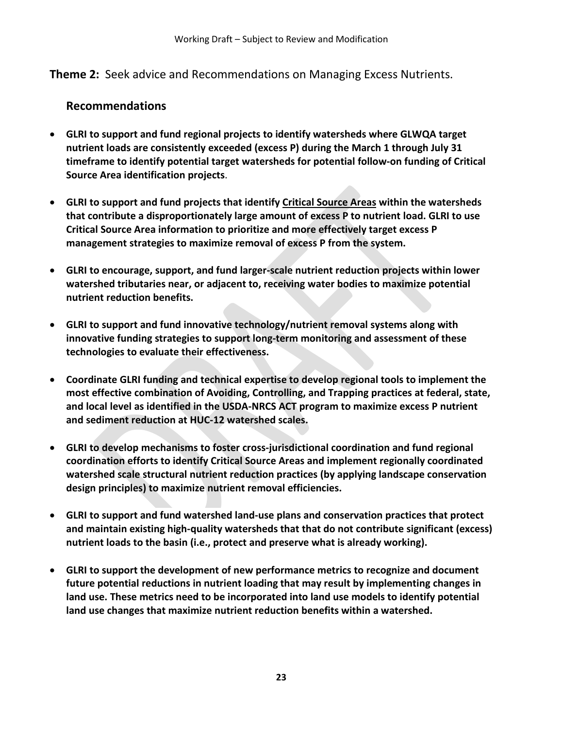**Theme 2:** Seek advice and Recommendations on Managing Excess Nutrients.

## **Recommendations**

- **GLRI to support and fund regional projects to identify watersheds where GLWQA target nutrient loads are consistently exceeded (excess P) during the March 1 through July 31 timeframe to identify potential target watersheds for potential follow-on funding of Critical Source Area identification projects**.
- **GLRI to support and fund projects that identify Critical Source Areas within the watersheds that contribute a disproportionately large amount of excess P to nutrient load. GLRI to use Critical Source Area information to prioritize and more effectively target excess P management strategies to maximize removal of excess P from the system.**
- **GLRI to encourage, support, and fund larger-scale nutrient reduction projects within lower watershed tributaries near, or adjacent to, receiving water bodies to maximize potential nutrient reduction benefits.**
- **GLRI to support and fund innovative technology/nutrient removal systems along with innovative funding strategies to support long-term monitoring and assessment of these technologies to evaluate their effectiveness.**
- **Coordinate GLRI funding and technical expertise to develop regional tools to implement the most effective combination of Avoiding, Controlling, and Trapping practices at federal, state, and local level as identified in the USDA-NRCS ACT program to maximize excess P nutrient and sediment reduction at HUC-12 watershed scales.**
- **GLRI to develop mechanisms to foster cross-jurisdictional coordination and fund regional coordination efforts to identify Critical Source Areas and implement regionally coordinated watershed scale structural nutrient reduction practices (by applying landscape conservation design principles) to maximize nutrient removal efficiencies.**
- **GLRI to support and fund watershed land-use plans and conservation practices that protect and maintain existing high-quality watersheds that that do not contribute significant (excess) nutrient loads to the basin (i.e., protect and preserve what is already working).**
- **GLRI to support the development of new performance metrics to recognize and document future potential reductions in nutrient loading that may result by implementing changes in land use. These metrics need to be incorporated into land use models to identify potential land use changes that maximize nutrient reduction benefits within a watershed.**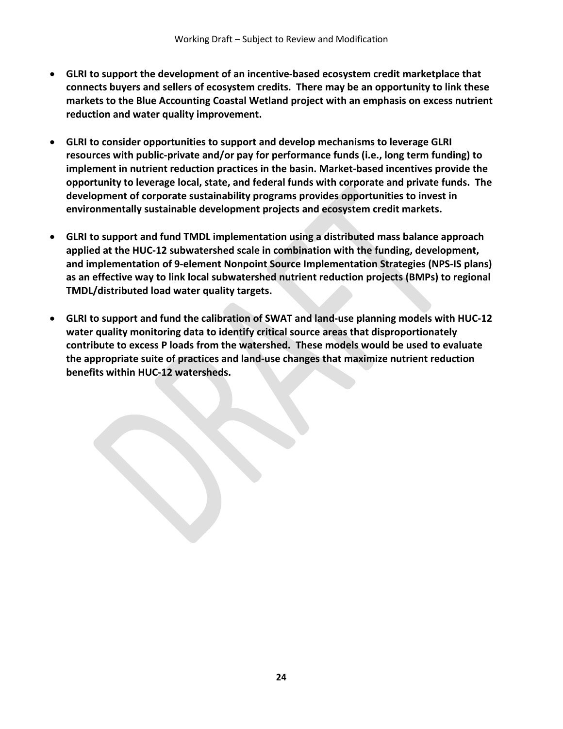- **GLRI to support the development of an incentive-based ecosystem credit marketplace that connects buyers and sellers of ecosystem credits. There may be an opportunity to link these markets to the Blue Accounting Coastal Wetland project with an emphasis on excess nutrient reduction and water quality improvement.**
- **GLRI to consider opportunities to support and develop mechanisms to leverage GLRI resources with public-private and/or pay for performance funds (i.e., long term funding) to implement in nutrient reduction practices in the basin. Market-based incentives provide the opportunity to leverage local, state, and federal funds with corporate and private funds. The development of corporate sustainability programs provides opportunities to invest in environmentally sustainable development projects and ecosystem credit markets.**
- **GLRI to support and fund TMDL implementation using a distributed mass balance approach applied at the HUC-12 subwatershed scale in combination with the funding, development, and implementation of 9-element Nonpoint Source Implementation Strategies (NPS-IS plans) as an effective way to link local subwatershed nutrient reduction projects (BMPs) to regional TMDL/distributed load water quality targets.**
- **GLRI to support and fund the calibration of SWAT and land-use planning models with HUC-12 water quality monitoring data to identify critical source areas that disproportionately contribute to excess P loads from the watershed. These models would be used to evaluate the appropriate suite of practices and land-use changes that maximize nutrient reduction benefits within HUC-12 watersheds.**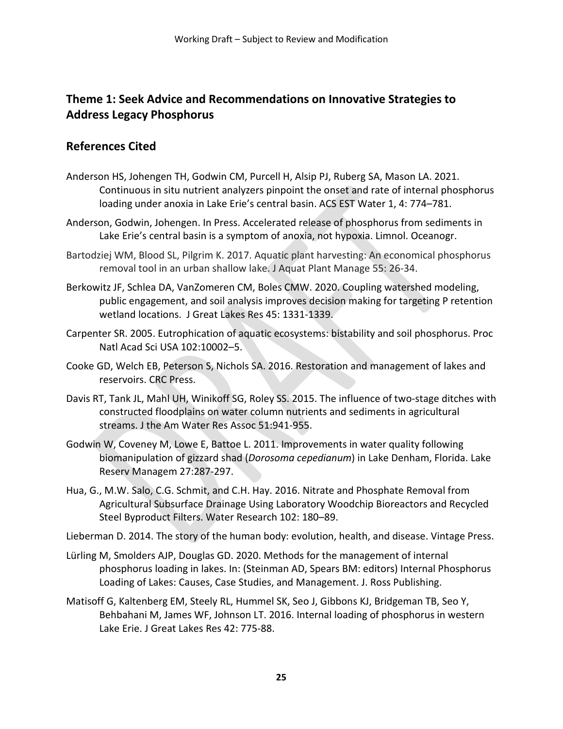# **Theme 1: Seek Advice and Recommendations on Innovative Strategies to Address Legacy Phosphorus**

## **References Cited**

- Anderson HS, Johengen TH, Godwin CM, Purcell H, Alsip PJ, Ruberg SA, Mason LA. 2021. Continuous in situ nutrient analyzers pinpoint the onset and rate of internal phosphorus loading under anoxia in Lake Erie's central basin. ACS EST Water 1, 4: 774–781.
- Anderson, Godwin, Johengen. In Press. Accelerated release of phosphorus from sediments in Lake Erie's central basin is a symptom of anoxia, not hypoxia. Limnol. Oceanogr.
- Bartodziej WM, Blood SL, Pilgrim K. 2017. Aquatic plant harvesting: An economical phosphorus removal tool in an urban shallow lake. J Aquat Plant Manage 55: 26-34.
- Berkowitz JF, Schlea DA, VanZomeren CM, Boles CMW. 2020. Coupling watershed modeling, public engagement, and soil analysis improves decision making for targeting P retention wetland locations. J Great Lakes Res 45: 1331-1339.
- Carpenter SR. 2005. Eutrophication of aquatic ecosystems: bistability and soil phosphorus. Proc Natl Acad Sci USA 102:10002–5.
- Cooke GD, Welch EB, Peterson S, Nichols SA. 2016. Restoration and management of lakes and reservoirs. CRC Press.
- Davis RT, Tank JL, Mahl UH, Winikoff SG, Roley SS. 2015. The influence of two-stage ditches with constructed floodplains on water column nutrients and sediments in agricultural streams. J the Am Water Res Assoc 51:941-955.
- Godwin W, Coveney M, Lowe E, Battoe L. 2011. Improvements in water quality following biomanipulation of gizzard shad (*Dorosoma cepedianum*) in Lake Denham, Florida. Lake Reserv Managem 27:287-297.
- Hua, G., M.W. Salo, C.G. Schmit, and C.H. Hay. 2016. Nitrate and Phosphate Removal from Agricultural Subsurface Drainage Using Laboratory Woodchip Bioreactors and Recycled Steel Byproduct Filters. Water Research 102: 180–89.

Lieberman D. 2014. The story of the human body: evolution, health, and disease. Vintage Press.

- Lürling M, Smolders AJP, Douglas GD. 2020. Methods for the management of internal phosphorus loading in lakes. In: (Steinman AD, Spears BM: editors) Internal Phosphorus Loading of Lakes: Causes, Case Studies, and Management. J. Ross Publishing.
- Matisoff G, Kaltenberg EM, Steely RL, Hummel SK, Seo J, Gibbons KJ, Bridgeman TB, Seo Y, Behbahani M, James WF, Johnson LT. 2016. Internal loading of phosphorus in western Lake Erie. J Great Lakes Res 42: 775-88.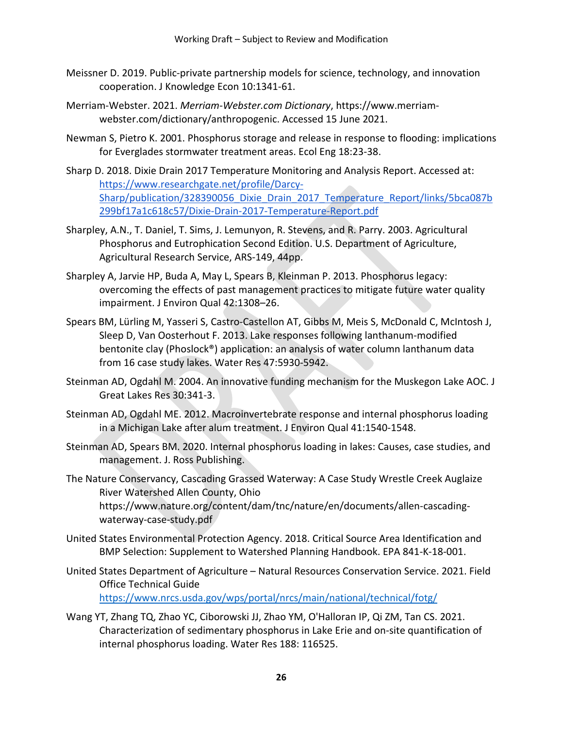- Meissner D. 2019. Public-private partnership models for science, technology, and innovation cooperation. J Knowledge Econ 10:1341-61.
- Merriam-Webster. 2021. *Merriam-Webster.com Dictionary*, https://www.merriamwebster.com/dictionary/anthropogenic. Accessed 15 June 2021.
- Newman S, Pietro K. 2001. Phosphorus storage and release in response to flooding: implications for Everglades stormwater treatment areas. Ecol Eng 18:23-38.
- Sharp D. 2018. Dixie Drain 2017 Temperature Monitoring and Analysis Report. Accessed at: [https://www.researchgate.net/profile/Darcy-](https://www.researchgate.net/profile/Darcy-Sharp/publication/328390056_Dixie_Drain_2017_Temperature_Report/links/5bca087b299bf17a1c618c57/Dixie-Drain-2017-Temperature-Report.pdf)[Sharp/publication/328390056\\_Dixie\\_Drain\\_2017\\_Temperature\\_Report/links/5bca087b](https://www.researchgate.net/profile/Darcy-Sharp/publication/328390056_Dixie_Drain_2017_Temperature_Report/links/5bca087b299bf17a1c618c57/Dixie-Drain-2017-Temperature-Report.pdf) [299bf17a1c618c57/Dixie-Drain-2017-Temperature-Report.pdf](https://www.researchgate.net/profile/Darcy-Sharp/publication/328390056_Dixie_Drain_2017_Temperature_Report/links/5bca087b299bf17a1c618c57/Dixie-Drain-2017-Temperature-Report.pdf)
- Sharpley, A.N., T. Daniel, T. Sims, J. Lemunyon, R. Stevens, and R. Parry. 2003. Agricultural Phosphorus and Eutrophication Second Edition. U.S. Department of Agriculture, Agricultural Research Service, ARS-149, 44pp.
- Sharpley A, Jarvie HP, Buda A, May L, Spears B, Kleinman P. 2013. Phosphorus legacy: overcoming the effects of past management practices to mitigate future water quality impairment. J Environ Qual 42:1308–26.
- Spears BM, Lürling M, Yasseri S, Castro-Castellon AT, Gibbs M, Meis S, McDonald C, McIntosh J, Sleep D, Van Oosterhout F. 2013. Lake responses following lanthanum-modified bentonite clay (Phoslock®) application: an analysis of water column lanthanum data from 16 case study lakes. Water Res 47:5930-5942.
- Steinman AD, Ogdahl M. 2004. An innovative funding mechanism for the Muskegon Lake AOC. J Great Lakes Res 30:341-3.
- Steinman AD, Ogdahl ME. 2012. Macroinvertebrate response and internal phosphorus loading in a Michigan Lake after alum treatment. J Environ Qual 41:1540-1548.
- Steinman AD, Spears BM. 2020. Internal phosphorus loading in lakes: Causes, case studies, and management. J. Ross Publishing.
- The Nature Conservancy, Cascading Grassed Waterway: A Case Study Wrestle Creek Auglaize River Watershed Allen County, Ohio https://www.nature.org/content/dam/tnc/nature/en/documents/allen-cascadingwaterway-case-study.pdf
- United States Environmental Protection Agency. 2018. Critical Source Area Identification and BMP Selection: Supplement to Watershed Planning Handbook. EPA 841-K-18-001.
- United States Department of Agriculture Natural Resources Conservation Service. 2021. Field Office Technical Guide <https://www.nrcs.usda.gov/wps/portal/nrcs/main/national/technical/fotg/>
- Wang YT, Zhang TQ, Zhao YC, Ciborowski JJ, Zhao YM, O'Halloran IP, Qi ZM, Tan CS. 2021. Characterization of sedimentary phosphorus in Lake Erie and on-site quantification of internal phosphorus loading. Water Res 188: 116525.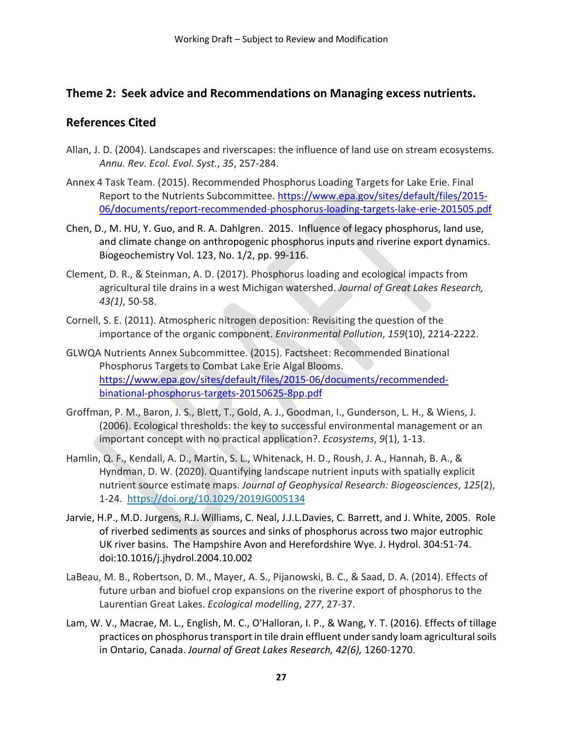## **Theme 2: Seek advice and Recommendations on Managing excess nutrients.**

## **References Cited**

- Allan, J. D. (2004). Landscapes and riverscapes: the influence of land use on stream ecosystems. *Annu. Rev. Ecol. Evol. Syst.*, *35*, 257-284.
- Annex 4 Task Team. (2015). Recommended Phosphorus Loading Targets for Lake Erie. Final Report to the Nutrients Subcommittee. [https://www.epa.gov/sites/default/files/2015-](https://www.epa.gov/sites/default/files/2015-06/documents/report-recommended-phosphorus-loading-targets-lake-erie-201505.pdf) [06/documents/report-recommended-phosphorus-loading-targets-lake-erie-201505.pdf](https://www.epa.gov/sites/default/files/2015-06/documents/report-recommended-phosphorus-loading-targets-lake-erie-201505.pdf)
- Chen, D., M. HU, Y. Guo, and R. A. Dahlgren. 2015. Influence of legacy phosphorus, land use, and climate change on anthropogenic phosphorus inputs and riverine export dynamics. Biogeochemistry Vol. 123, No. 1/2, pp. 99-116.
- Clement, D. R., & Steinman, A. D. (2017). Phosphorus loading and ecological impacts from agricultural tile drains in a west Michigan watershed. *Journal of Great Lakes Research, 43(1)*, 50-58.
- Cornell, S. E. (2011). Atmospheric nitrogen deposition: Revisiting the question of the importance of the organic component. *Environmental Pollution*, *159*(10), 2214-2222.
- GLWQA Nutrients Annex Subcommittee. (2015). Factsheet: Recommended Binational Phosphorus Targets to Combat Lake Erie Algal Blooms. [https://www.epa.gov/sites/default/files/2015-06/documents/recommended](https://www.epa.gov/sites/default/files/2015-06/documents/recommended-binational-phosphorus-targets-20150625-8pp.pdf)[binational-phosphorus-targets-20150625-8pp.pdf](https://www.epa.gov/sites/default/files/2015-06/documents/recommended-binational-phosphorus-targets-20150625-8pp.pdf)
- Groffman, P. M., Baron, J. S., Blett, T., Gold, A. J., Goodman, I., Gunderson, L. H., & Wiens, J. (2006). Ecological thresholds: the key to successful environmental management or an important concept with no practical application?. *Ecosystems*, *9*(1), 1-13.
- Hamlin, Q. F., Kendall, A. D., Martin, S. L., Whitenack, H. D., Roush, J. A., Hannah, B. A., & Hyndman, D. W. (2020). Quantifying landscape nutrient inputs with spatially explicit nutrient source estimate maps. *Journal of Geophysical Research: Biogeosciences*, *125*(2), 1-24. <https://doi.org/10.1029/2019JG005134>
- Jarvie, H.P., M.D. Jurgens, R.J. Williams, C. Neal, J.J.L.Davies, C. Barrett, and J. White, 2005. Role of riverbed sediments as sources and sinks of phosphorus across two major eutrophic UK river basins. The Hampshire Avon and Herefordshire Wye. J. Hydrol. 304:51-74. doi:10.1016/j.jhydrol.2004.10.002
- LaBeau, M. B., Robertson, D. M., Mayer, A. S., Pijanowski, B. C., & Saad, D. A. (2014). Effects of future urban and biofuel crop expansions on the riverine export of phosphorus to the Laurentian Great Lakes. *Ecological modelling*, *277*, 27-37.
- Lam, W. V., Macrae, M. L., English, M. C., O'Halloran, I. P., & Wang, Y. T. (2016). Effects of tillage practices on phosphorus transport in tile drain effluent under sandy loam agricultural soils in Ontario, Canada. *Journal of Great Lakes Research, 42(6),* 1260-1270.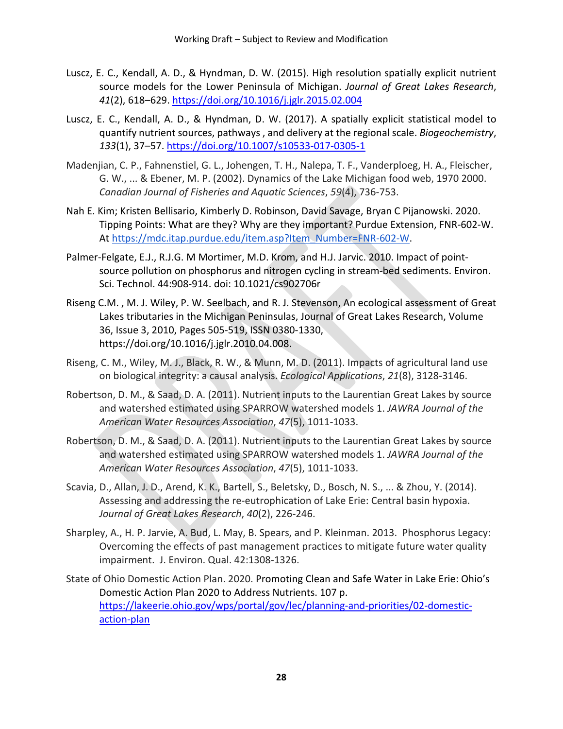- Luscz, E. C., Kendall, A. D., & Hyndman, D. W. (2015). High resolution spatially explicit nutrient source models for the Lower Peninsula of Michigan. *Journal of Great Lakes Research*, *41*(2), 618–629.<https://doi.org/10.1016/j.jglr.2015.02.004>
- Luscz, E. C., Kendall, A. D., & Hyndman, D. W. (2017). A spatially explicit statistical model to quantify nutrient sources, pathways , and delivery at the regional scale. *Biogeochemistry*, *133*(1), 37–57.<https://doi.org/10.1007/s10533-017-0305-1>
- Madenjian, C. P., Fahnenstiel, G. L., Johengen, T. H., Nalepa, T. F., Vanderploeg, H. A., Fleischer, G. W., ... & Ebener, M. P. (2002). Dynamics of the Lake Michigan food web, 1970 2000. *Canadian Journal of Fisheries and Aquatic Sciences*, *59*(4), 736-753.
- Nah E. Kim; Kristen Bellisario, Kimberly D. Robinson, David Savage, Bryan C Pijanowski. 2020. Tipping Points: What are they? Why are they important? Purdue Extension, FNR-602-W. At [https://mdc.itap.purdue.edu/item.asp?Item\\_Number=FNR-602-W.](https://mdc.itap.purdue.edu/item.asp?Item_Number=FNR-602-W)
- Palmer-Felgate, E.J., R.J.G. M Mortimer, M.D. Krom, and H.J. Jarvic. 2010. Impact of pointsource pollution on phosphorus and nitrogen cycling in stream-bed sediments. Environ. Sci. Technol. 44:908-914. doi: 10.1021/cs902706r
- Riseng C.M. , M. J. Wiley, P. W. Seelbach, and R. J. Stevenson, An ecological assessment of Great Lakes tributaries in the Michigan Peninsulas, Journal of Great Lakes Research, Volume 36, Issue 3, 2010, Pages 505-519, ISSN 0380-1330, https://doi.org/10.1016/j.jglr.2010.04.008.
- Riseng, C. M., Wiley, M. J., Black, R. W., & Munn, M. D. (2011). Impacts of agricultural land use on biological integrity: a causal analysis. *Ecological Applications*, *21*(8), 3128-3146.
- Robertson, D. M., & Saad, D. A. (2011). Nutrient inputs to the Laurentian Great Lakes by source and watershed estimated using SPARROW watershed models 1. *JAWRA Journal of the American Water Resources Association*, *47*(5), 1011-1033.
- Robertson, D. M., & Saad, D. A. (2011). Nutrient inputs to the Laurentian Great Lakes by source and watershed estimated using SPARROW watershed models 1. *JAWRA Journal of the American Water Resources Association*, *47*(5), 1011-1033.
- Scavia, D., Allan, J. D., Arend, K. K., Bartell, S., Beletsky, D., Bosch, N. S., ... & Zhou, Y. (2014). Assessing and addressing the re-eutrophication of Lake Erie: Central basin hypoxia. *Journal of Great Lakes Research*, *40*(2), 226-246.
- Sharpley, A., H. P. Jarvie, A. Bud, L. May, B. Spears, and P. Kleinman. 2013. Phosphorus Legacy: Overcoming the effects of past management practices to mitigate future water quality impairment. J. Environ. Qual. 42:1308-1326.
- State of Ohio Domestic Action Plan. 2020. Promoting Clean and Safe Water in Lake Erie: Ohio's Domestic Action Plan 2020 to Address Nutrients. 107 p. [https://lakeerie.ohio.gov/wps/portal/gov/lec/planning-and-priorities/02-domestic](https://lakeerie.ohio.gov/wps/portal/gov/lec/planning-and-priorities/02-domestic-action-plan)[action-plan](https://lakeerie.ohio.gov/wps/portal/gov/lec/planning-and-priorities/02-domestic-action-plan)